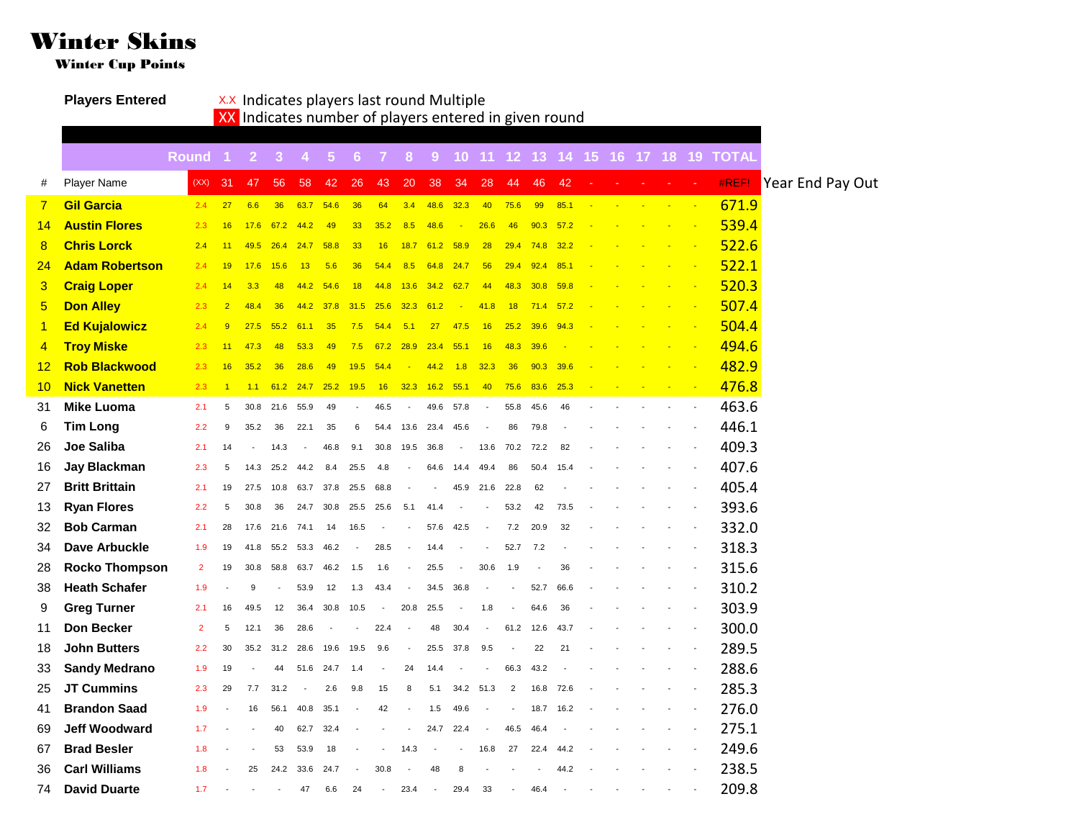## Winter Skins

Winter Cup Points

**Players Entered** XX Indicates players last round Multiple

XX Indicates number of players entered in given round

|                |                       | <b>Round</b>   | -11            | $\vert 2 \vert$ | 3 <sup>2</sup> | $\sim$                   | 5 <sub>1</sub> | 6 <sup>°</sup> | -7             | 8 <sup>°</sup> | 9 <sup>°</sup>           |                          |        |                |      |      |                |  |  | 10 11 12 13 14 15 16 17 18 19 TOTAL |                  |  |
|----------------|-----------------------|----------------|----------------|-----------------|----------------|--------------------------|----------------|----------------|----------------|----------------|--------------------------|--------------------------|--------|----------------|------|------|----------------|--|--|-------------------------------------|------------------|--|
| #              | <b>Player Name</b>    | (XX)           | 31             | 47              | 56             | 58                       | 42             | 26             | 43             | 20             | 38                       | 34                       | 28     | 44             | 46   | 42   |                |  |  | #REF!                               | Year End Pay Out |  |
| $\overline{7}$ | <b>Gil Garcia</b>     | 2.4            | 27             | 6.6             | 36             | 63.7                     | 54.6           | 36             | 64             | 3.4            | 48.6                     | 32.3                     | 40     | 75.6           | 99   | 85.1 | $\mathbb{Z}^2$ |  |  | 671.9                               |                  |  |
| 14             | <b>Austin Flores</b>  | 2.3            | 16             | 17.6            | 67.2           | 44.2                     | 49             | 33             | 35.2           | 8.5            | 48.6                     | ×.                       | 26.6   | 46             | 90.3 | 57.2 |                |  |  | 539.4                               |                  |  |
| 8              | <b>Chris Lorck</b>    | 2.4            | 11             | 49.5            | 26.4           | 24.7                     | 58.8           | 33             | 16             | 18.7           | 61.2                     | 58.9                     | 28     | 29.4           | 74.8 | 32.2 |                |  |  | 522.6                               |                  |  |
| 24             | <b>Adam Robertson</b> | 2.4            | 19             | 17.6            | 15.6           | 13                       | 5.6            | 36             | 54.4           | 8.5            | 64.8                     | 24.7                     | 56     | 29.4           | 92.4 | 85.1 |                |  |  | 522.1                               |                  |  |
| 3              | <b>Craig Loper</b>    | 2.4            | 14             | 3.3             | 48             | 44.2                     | 54.6           | 18             | 44.8           |                | $13.6$ $34.2$            | 62.7                     | 44     | 48.3           | 30.8 | 59.8 |                |  |  | 520.3                               |                  |  |
| 5              | <b>Don Alley</b>      | 2.3            | $\overline{2}$ | 48.4            | 36             | 44.2                     | 37.8           | 31.5           | 25.6           | 32.3           | 61.2                     | ×.                       | 41.8   | 18             | 71.4 | 57.2 |                |  |  | 507.4                               |                  |  |
| $\mathbf{1}$   | <b>Ed Kujalowicz</b>  | 2.4            | 9              | 27.5            | 55.2           | 61.1                     | 35             | 7.5            | 54.4           | 5.1            | 27                       | 47.5                     | 16     | 25.2           | 39.6 | 94.3 |                |  |  | 504.4                               |                  |  |
| $\overline{4}$ | <b>Troy Miske</b>     | 2.3            | 11             | 47.3            | 48             | 53.3                     | 49             | 7.5            | 67.2           | 28.9           | 23.4                     | 55.1                     | 16     | 48.3           | 39.6 |      |                |  |  | 494.6                               |                  |  |
| 12             | <b>Rob Blackwood</b>  | 2.3            | 16             | 35.2            | 36             | 28.6                     | 49             | 19.5           | 54.4           |                | 44.2                     | 1.8                      | 32.3   | 36             | 90.3 | 39.6 |                |  |  | 482.9                               |                  |  |
| 10             | <b>Nick Vanetten</b>  | 2.3            | $\overline{1}$ | 1.1             | 61.2           | 24.7                     | 25.2           | 19.5           | 16             | 32.3           | 16.2                     | 55.1                     | 40     | 75.6           | 83.6 | 25.3 |                |  |  | 476.8                               |                  |  |
| 31             | <b>Mike Luoma</b>     | 2.1            | 5              | 30.8            | 21.6           | 55.9                     | 49             |                | 46.5           | $\overline{a}$ | 49.6                     | 57.8                     |        | 55.8           | 45.6 | 46   |                |  |  | 463.6                               |                  |  |
| 6              | <b>Tim Long</b>       | 2.2            | 9              | 35.2            | 36             | 22.1                     | 35             | 6              | 54.4           | 13.6           | 23.4                     | 45.6                     | $\sim$ | 86             | 79.8 |      |                |  |  | 446.1                               |                  |  |
| 26             | <b>Joe Saliba</b>     | 2.1            | 14             |                 | 14.3           | $\overline{\phantom{a}}$ | 46.8           | 9.1            | 30.8           | 19.5           | 36.8                     | $\sim$                   | 13.6   | 70.2           | 72.2 | 82   |                |  |  | 409.3                               |                  |  |
| 16             | <b>Jay Blackman</b>   | 2.3            | 5              | 14.3            | 25.2           | 44.2                     | 8.4            | 25.5           | 4.8            |                | 64.6                     | 14.4                     | 49.4   | 86             | 50.4 | 15.4 |                |  |  | 407.6                               |                  |  |
| 27             | <b>Britt Brittain</b> | 2.1            | 19             | 27.5            | 10.8           | 63.7                     | 37.8 25.5      |                | 68.8           |                |                          | 45.9                     | 21.6   | 22.8           | 62   |      |                |  |  | 405.4                               |                  |  |
| 13             | <b>Ryan Flores</b>    | 2.2            | 5              | 30.8            | 36             | 24.7                     | 30.8           | 25.5           | 25.6           | 5.1            | 41.4                     |                          |        | 53.2           | 42   | 73.5 |                |  |  | 393.6                               |                  |  |
| 32             | <b>Bob Carman</b>     | 2.1            | 28             | 17.6            | 21.6           | 74.1                     | 14             | 16.5           |                |                | 57.6                     | 42.5                     |        | 7.2            | 20.9 | 32   |                |  |  | 332.0                               |                  |  |
| 34             | <b>Dave Arbuckle</b>  | 1.9            | 19             | 41.8            | 55.2           | 53.3                     | 46.2           |                | 28.5           |                | 14.4                     |                          |        | 52.7           | 7.2  |      |                |  |  | 318.3                               |                  |  |
| 28             | <b>Rocko Thompson</b> | $\overline{2}$ | 19             | 30.8            | 58.8           | 63.7                     | 46.2           | 1.5            | 1.6            |                | 25.5                     | $\overline{\phantom{a}}$ | 30.6   | 1.9            |      | 36   |                |  |  | 315.6                               |                  |  |
| 38             | <b>Heath Schafer</b>  | 1.9            |                | $\mathbf{Q}$    |                | 53.9                     | 12             | 1.3            | 43.4           | $\overline{a}$ | 34.5                     | 36.8                     |        |                | 52.7 | 66.6 |                |  |  | 310.2                               |                  |  |
| 9              | <b>Greg Turner</b>    | 2.1            | 16             | 49.5            | 12             | 36.4                     | 30.8           | 10.5           |                | 20.8           | 25.5                     |                          | 1.8    |                | 64.6 | 36   |                |  |  | 303.9                               |                  |  |
| 11             | <b>Don Becker</b>     | $\overline{2}$ | 5              | 12.1            | 36             | 28.6                     |                |                | 22.4           |                | 48                       | 30.4                     |        | 61.2           | 12.6 | 43.7 |                |  |  | 300.0                               |                  |  |
| 18             | <b>John Butters</b>   | 2.2            | 30             | 35.2            | 31.2           | 28.6                     | 19.6           | 19.5           | 9.6            | ÷,             | 25.5                     | 37.8                     | 9.5    |                | 22   | 21   |                |  |  | 289.5                               |                  |  |
| 33             | <b>Sandy Medrano</b>  | 1.9            | 19             |                 | 44             | 51.6                     | 24.7           | 1.4            |                | 24             | 14.4                     |                          |        | 66.3           | 43.2 |      |                |  |  | 288.6                               |                  |  |
| 25             | <b>JT Cummins</b>     | 2.3            | 29             | 7.7             | 31.2           | ÷,                       | 2.6            | 9.8            | 15             | 8              | 5.1                      | 34.2                     | 51.3   | $\overline{2}$ | 16.8 | 72.6 |                |  |  | 285.3                               |                  |  |
| 41             | <b>Brandon Saad</b>   | 1.9            |                | 16              | 56.1           | 40.8                     | 35.1           |                | 42             |                | 1.5                      | 49.6                     |        |                | 18.7 | 16.2 |                |  |  | 276.0                               |                  |  |
| 69             | <b>Jeff Woodward</b>  | 1.7            |                |                 | 40             | 62.7                     | 32.4           |                |                |                | 24.7                     | 22.4                     | $\sim$ | 46.5           | 46.4 |      |                |  |  | 275.1                               |                  |  |
| 67             | <b>Brad Besler</b>    | 1.8            |                |                 | 53             | 53.9                     | 18             |                |                | 14.3           |                          |                          | 16.8   | 27             | 22.4 | 44.2 |                |  |  | 249.6                               |                  |  |
| 36             | <b>Carl Williams</b>  | 1.8            |                | 25              | 24.2           | 33.6                     | 24.7           |                | 30.8           |                | 48                       | 8                        |        |                |      | 44.2 |                |  |  | 238.5                               |                  |  |
| 74             | <b>David Duarte</b>   | 1.7            |                |                 |                | 47                       | 6.6            | 24             | $\overline{a}$ | 23.4           | $\overline{\phantom{a}}$ | 29.4                     | 33     |                | 46.4 |      |                |  |  | 209.8                               |                  |  |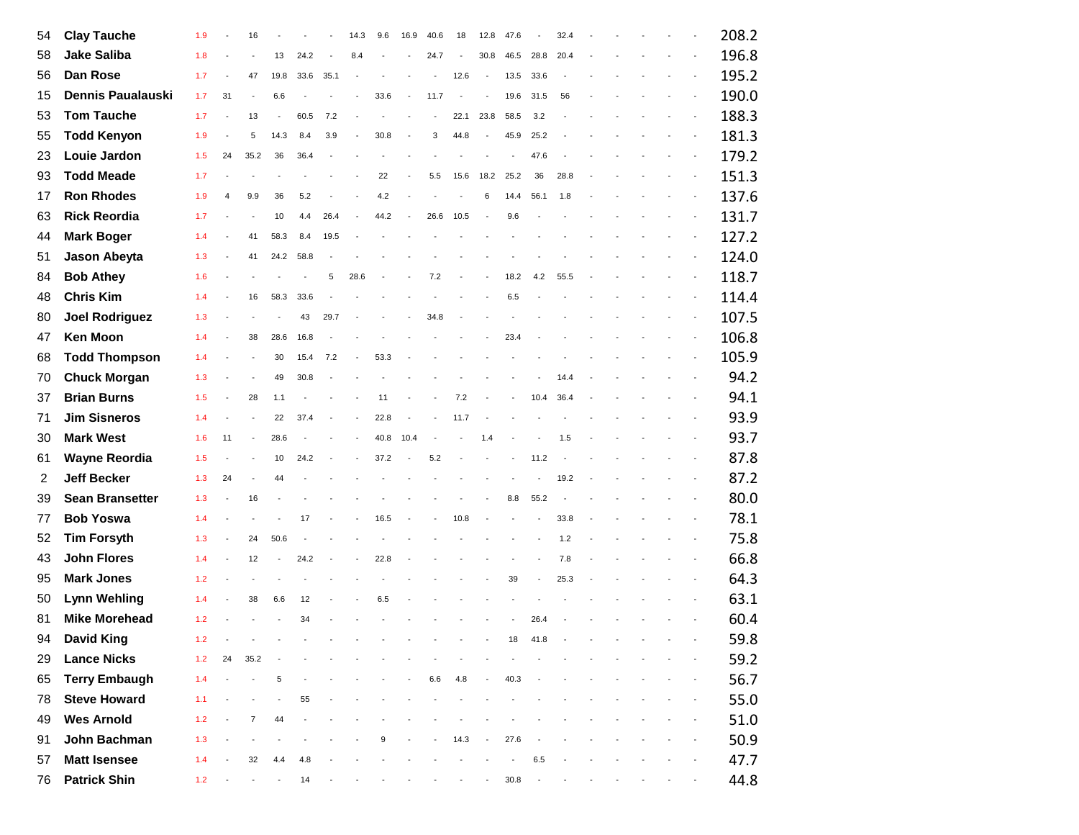| 54 | <b>Clay Tauche</b>       | 1.9   |    | 16                       |                |      |      | 14.3                     | 9.6  | 16.9                     | 40.6                     | 18   | 12.8                     | 47.6                     |      | 32.4 |  |  |                          | 208.2 |
|----|--------------------------|-------|----|--------------------------|----------------|------|------|--------------------------|------|--------------------------|--------------------------|------|--------------------------|--------------------------|------|------|--|--|--------------------------|-------|
| 58 | <b>Jake Saliba</b>       | 1.8   |    |                          | 13             | 24.2 |      | 8.4                      |      |                          | 24.7                     |      | 30.8                     | 46.5                     | 28.8 | 20.4 |  |  |                          | 196.8 |
| 56 | Dan Rose                 | 1.7   |    | 47                       | 19.8           | 33.6 | 35.1 |                          |      |                          | $\overline{\phantom{a}}$ | 12.6 | $\overline{\phantom{a}}$ | 13.5                     | 33.6 |      |  |  |                          | 195.2 |
| 15 | <b>Dennis Paualauski</b> | 1.7   | 31 |                          | 6.6            |      |      |                          | 33.6 |                          | 11.7                     |      |                          | 19.6                     | 31.5 | 56   |  |  |                          | 190.0 |
| 53 | <b>Tom Tauche</b>        | 1.7   |    | 13                       |                | 60.5 | 7.2  |                          |      |                          |                          | 22.1 | 23.8                     | 58.5                     | 3.2  |      |  |  |                          | 188.3 |
| 55 | <b>Todd Kenyon</b>       | 1.9   |    | 5                        | 14.3           | 8.4  | 3.9  |                          | 30.8 |                          | 3                        | 44.8 |                          | 45.9                     | 25.2 |      |  |  |                          | 181.3 |
| 23 | Louie Jardon             | 1.5   | 24 | 35.2                     | 36             | 36.4 |      |                          |      |                          |                          |      |                          | $\overline{\phantom{a}}$ | 47.6 |      |  |  |                          | 179.2 |
| 93 | <b>Todd Meade</b>        | 1.7   |    |                          |                |      |      |                          | 22   |                          | 5.5                      | 15.6 | 18.2                     | 25.2                     | 36   | 28.8 |  |  |                          | 151.3 |
| 17 | <b>Ron Rhodes</b>        | 1.9   | 4  | 9.9                      | 36             | 5.2  |      |                          | 4.2  |                          |                          |      | 6                        | 14.4                     | 56.1 | 1.8  |  |  |                          | 137.6 |
| 63 | <b>Rick Reordia</b>      | 1.7   |    |                          | 10             | 4.4  | 26.4 | $\overline{a}$           | 44.2 | $\overline{\phantom{a}}$ | 26.6                     | 10.5 | $\bar{\phantom{a}}$      | 9.6                      |      |      |  |  |                          | 131.7 |
| 44 | <b>Mark Boger</b>        | 1.4   |    | 41                       | 58.3           | 8.4  | 19.5 |                          |      |                          |                          |      |                          |                          |      |      |  |  |                          | 127.2 |
| 51 | Jason Abeyta             | 1.3   |    | 41                       | 24.2           | 58.8 |      |                          |      |                          |                          |      |                          |                          |      |      |  |  |                          | 124.0 |
| 84 | <b>Bob Athey</b>         | 1.6   |    |                          |                |      | 5    | 28.6                     |      |                          | 7.2                      |      |                          | 18.2                     | 4.2  | 55.5 |  |  |                          | 118.7 |
| 48 | <b>Chris Kim</b>         | 1.4   |    | 16                       | 58.3           | 33.6 |      |                          |      |                          |                          |      |                          | 6.5                      |      |      |  |  |                          | 114.4 |
| 80 | <b>Joel Rodriguez</b>    | 1.3   |    |                          |                | 43   | 29.7 |                          |      |                          | 34.8                     |      |                          |                          |      |      |  |  |                          | 107.5 |
| 47 | <b>Ken Moon</b>          | 1.4   |    | 38                       | 28.6           | 16.8 |      |                          |      |                          |                          |      |                          | 23.4                     |      |      |  |  |                          | 106.8 |
| 68 | <b>Todd Thompson</b>     | 1.4   |    |                          | 30             | 15.4 | 7.2  |                          | 53.3 |                          |                          |      |                          |                          |      |      |  |  |                          | 105.9 |
| 70 | <b>Chuck Morgan</b>      | 1.3   |    | ÷,                       | 49             | 30.8 |      |                          |      |                          |                          |      |                          |                          |      | 14.4 |  |  |                          | 94.2  |
| 37 | <b>Brian Burns</b>       | 1.5   |    | 28                       | 1.1            |      |      |                          | 11   |                          |                          | 7.2  |                          |                          | 10.4 | 36.4 |  |  |                          | 94.1  |
| 71 | <b>Jim Sisneros</b>      | 1.4   |    | ÷,                       | 22             | 37.4 |      | $\overline{\phantom{a}}$ | 22.8 |                          |                          | 11.7 |                          |                          |      |      |  |  |                          | 93.9  |
| 30 | <b>Mark West</b>         | 1.6   | 11 | $\overline{\phantom{a}}$ | 28.6           |      |      |                          | 40.8 | 10.4                     | $\overline{a}$           |      | 1.4                      |                          |      | 1.5  |  |  |                          | 93.7  |
| 61 | <b>Wayne Reordia</b>     | 1.5   |    |                          | 10             | 24.2 |      |                          | 37.2 |                          | 5.2                      |      |                          |                          | 11.2 |      |  |  |                          | 87.8  |
| 2  | <b>Jeff Becker</b>       | 1.3   | 24 | $\overline{a}$           | 44             |      |      |                          |      |                          |                          |      |                          |                          |      | 19.2 |  |  |                          | 87.2  |
| 39 | <b>Sean Bransetter</b>   | 1.3   |    | 16                       |                |      |      |                          |      |                          |                          |      |                          | 8.8                      | 55.2 |      |  |  |                          | 80.0  |
| 77 | <b>Bob Yoswa</b>         | 1.4   |    |                          |                | 17   |      | ÷,                       | 16.5 |                          | $\sim$                   | 10.8 | $\overline{\phantom{a}}$ |                          |      | 33.8 |  |  |                          | 78.1  |
| 52 | <b>Tim Forsyth</b>       | 1.3   |    | 24                       | 50.6           |      |      |                          |      |                          |                          |      |                          |                          |      | 1.2  |  |  |                          | 75.8  |
| 43 | <b>John Flores</b>       | 1.4   |    | 12                       | $\blacksquare$ | 24.2 |      |                          | 22.8 |                          |                          |      |                          |                          |      | 7.8  |  |  | $\overline{\phantom{a}}$ | 66.8  |
| 95 | <b>Mark Jones</b>        | 1.2   |    |                          |                |      |      |                          |      |                          |                          |      |                          | 39                       |      | 25.3 |  |  |                          | 64.3  |
| 50 | <b>Lynn Wehling</b>      | 1.4   |    | 38                       | 6.6            | 12   |      |                          | 6.5  |                          |                          |      |                          |                          |      |      |  |  |                          | 63.1  |
| 81 | <b>Mike Morehead</b>     | 1.2   |    |                          |                | 34   |      |                          |      |                          |                          |      |                          |                          | 26.4 |      |  |  |                          | 60.4  |
| 94 | <b>David King</b>        | 1.2   |    |                          |                |      |      |                          |      |                          |                          |      |                          | 18                       | 41.8 |      |  |  |                          | 59.8  |
| 29 | <b>Lance Nicks</b>       | $1.2$ | 24 | 35.2                     |                |      |      |                          |      |                          |                          |      |                          |                          |      |      |  |  |                          | 59.2  |
| 65 | <b>Terry Embaugh</b>     | 1.4   |    |                          | 5              |      |      |                          |      |                          | $6.6\,$                  | 4.8  |                          | 40.3                     |      |      |  |  |                          | 56.7  |
| 78 | <b>Steve Howard</b>      | 1.1   |    |                          |                | 55   |      |                          |      |                          |                          |      |                          |                          |      |      |  |  |                          | 55.0  |
| 49 | <b>Wes Arnold</b>        | 1.2   |    | $\overline{7}$           | 44             |      |      |                          |      |                          |                          |      |                          |                          |      |      |  |  |                          | 51.0  |
| 91 | John Bachman             | 1.3   |    |                          |                |      |      |                          | 9    |                          |                          | 14.3 |                          | 27.6                     |      |      |  |  |                          | 50.9  |
| 57 | <b>Matt Isensee</b>      | 1.4   |    | 32                       | 4.4            | 4.8  |      |                          |      |                          |                          |      |                          |                          | 6.5  |      |  |  |                          | 47.7  |
| 76 | <b>Patrick Shin</b>      | 1.2   |    |                          | $\blacksquare$ | 14   |      |                          |      |                          |                          |      |                          | 30.8                     |      |      |  |  |                          | 44.8  |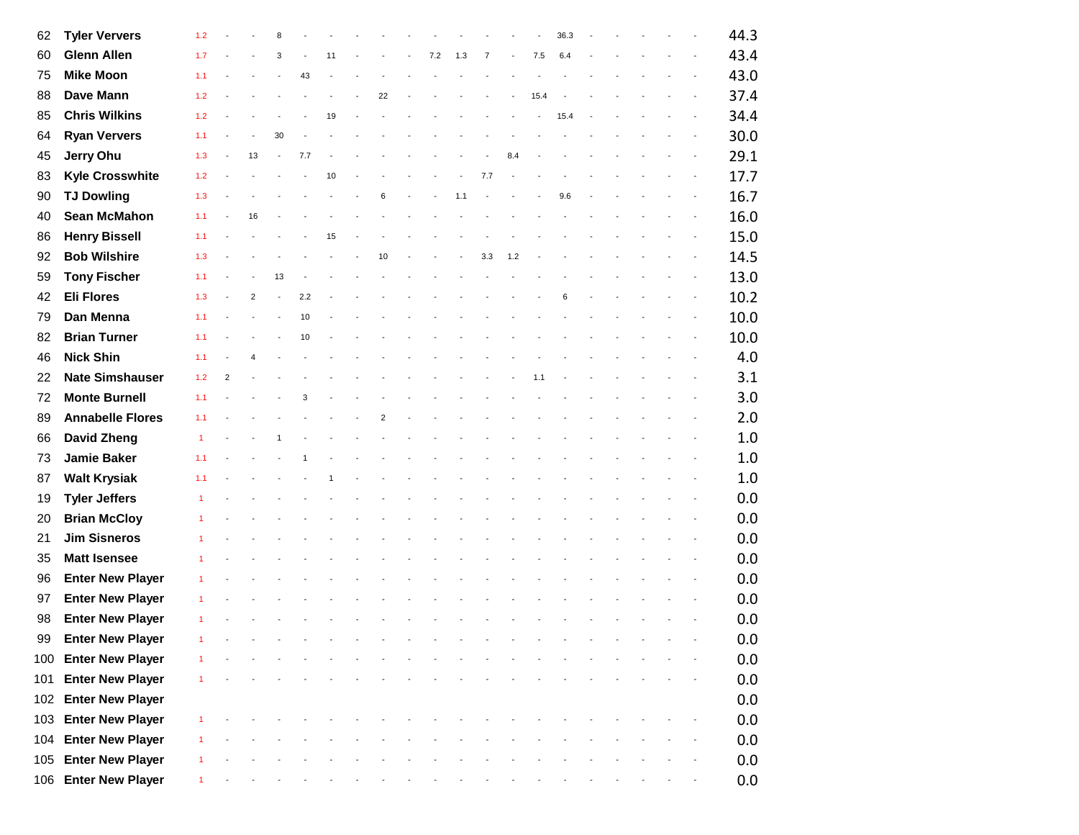| 62  | <b>Tyler Ververs</b>    | 1.2          |                |                | 8                        |     |    |                |     |                |        |     |      | 36.3 |  |  | 44.3 |
|-----|-------------------------|--------------|----------------|----------------|--------------------------|-----|----|----------------|-----|----------------|--------|-----|------|------|--|--|------|
| 60  | <b>Glenn Allen</b>      | 1.7          |                |                | 3                        |     | 11 |                | 7.2 | 1.3            | 7      |     | 7.5  | 6.4  |  |  | 43.4 |
| 75  | <b>Mike Moon</b>        | 1.1          |                |                | $\overline{\phantom{a}}$ | 43  |    |                |     |                |        |     |      |      |  |  | 43.0 |
| 88  | Dave Mann               | 1.2          |                |                |                          |     |    | 22             |     |                |        |     | 15.4 |      |  |  | 37.4 |
| 85  | <b>Chris Wilkins</b>    | 1.2          |                |                |                          |     | 19 |                |     |                |        |     |      | 15.4 |  |  | 34.4 |
| 64  | <b>Ryan Ververs</b>     | 1.1          |                |                | 30                       |     |    |                |     |                |        |     |      |      |  |  | 30.0 |
| 45  | Jerry Ohu               | 1.3          |                | 13             |                          | 7.7 |    |                |     |                |        | 8.4 |      |      |  |  | 29.1 |
| 83  | <b>Kyle Crosswhite</b>  | 1.2          |                |                |                          |     | 10 |                |     | $\blacksquare$ | 7.7    |     |      |      |  |  | 17.7 |
| 90  | <b>TJ Dowling</b>       | 1.3          |                |                |                          |     |    | 6              |     | 1.1            |        |     |      | 9.6  |  |  | 16.7 |
| 40  | Sean McMahon            | 1.1          |                | 16             |                          |     |    |                |     |                |        |     |      |      |  |  | 16.0 |
| 86  | <b>Henry Bissell</b>    | 1.1          |                |                |                          |     | 15 |                |     |                |        |     |      |      |  |  | 15.0 |
| 92  | <b>Bob Wilshire</b>     | 1.3          |                |                |                          |     |    | 10             |     |                | 3.3    | 1.2 |      |      |  |  | 14.5 |
| 59  | <b>Tony Fischer</b>     | 1.1          |                |                | 13                       |     |    |                |     |                |        |     |      |      |  |  | 13.0 |
| 42  | <b>Eli Flores</b>       | 1.3          |                | $\overline{2}$ | $\overline{\phantom{a}}$ | 2.2 |    |                |     |                |        |     |      | 6    |  |  | 10.2 |
| 79  | Dan Menna               | 1.1          |                |                |                          | 10  |    |                |     |                |        |     |      |      |  |  | 10.0 |
| 82  | <b>Brian Turner</b>     | 1.1          |                |                |                          | 10  |    |                |     |                |        |     |      |      |  |  | 10.0 |
| 46  | <b>Nick Shin</b>        | 1.1          |                |                |                          |     |    |                |     |                |        |     |      |      |  |  | 4.0  |
| 22  | <b>Nate Simshauser</b>  | 1.2          | $\overline{2}$ |                |                          |     |    |                |     |                |        |     | 1.1  |      |  |  | 3.1  |
| 72  | <b>Monte Burnell</b>    | 1.1          |                |                |                          | 3   |    |                |     |                |        |     |      |      |  |  | 3.0  |
| 89  | <b>Annabelle Flores</b> | 1.1          |                |                |                          |     |    | $\overline{2}$ |     |                |        |     |      |      |  |  | 2.0  |
| 66  | <b>David Zheng</b>      | $\mathbf{1}$ |                |                | $\mathbf{1}$             |     |    |                |     |                |        |     |      |      |  |  | 1.0  |
| 73  | <b>Jamie Baker</b>      | 1.1          |                |                |                          |     |    |                |     |                |        |     |      |      |  |  | 1.0  |
| 87  | <b>Walt Krysiak</b>     | 1.1          |                |                |                          |     |    |                |     |                |        |     |      |      |  |  | 1.0  |
| 19  | <b>Tyler Jeffers</b>    |              |                |                |                          |     |    |                |     |                |        |     |      |      |  |  | 0.0  |
| 20  | <b>Brian McCloy</b>     |              |                |                |                          |     |    |                |     |                |        |     |      |      |  |  | 0.0  |
| 21  | <b>Jim Sisneros</b>     |              |                |                |                          |     |    |                |     |                |        |     |      |      |  |  | 0.0  |
| 35  | <b>Matt Isensee</b>     |              |                |                |                          |     |    |                |     |                |        |     |      |      |  |  | 0.0  |
| 96  | <b>Enter New Player</b> |              |                |                |                          |     |    |                |     |                |        |     |      |      |  |  | 0.0  |
| 97  | <b>Enter New Player</b> |              |                |                |                          |     |    |                |     |                |        |     |      |      |  |  | 0.0  |
| 98  | <b>Enter New Player</b> |              |                |                |                          |     |    |                |     |                |        |     |      |      |  |  | 0.0  |
| 99  | <b>Enter New Player</b> | $\mathbf{1}$ |                |                |                          |     |    |                |     | $\sim$ $-$     | $\sim$ |     |      |      |  |  | 0.0  |
|     | 100 Enter New Player    |              |                |                |                          |     |    |                |     |                |        |     |      |      |  |  | 0.0  |
|     | 101 Enter New Player    |              |                |                |                          |     |    |                |     |                |        |     |      |      |  |  | 0.0  |
|     | 102 Enter New Player    |              |                |                |                          |     |    |                |     |                |        |     |      |      |  |  | 0.0  |
| 103 | <b>Enter New Player</b> |              |                |                |                          |     |    |                |     |                |        |     |      |      |  |  | 0.0  |
|     | 104 Enter New Player    |              |                |                |                          |     |    |                |     |                |        |     |      |      |  |  | 0.0  |
| 105 | <b>Enter New Player</b> |              |                |                |                          |     |    |                |     |                |        |     |      |      |  |  | 0.0  |
|     | 106 Enter New Player    |              |                |                |                          |     |    |                |     |                |        |     |      |      |  |  | 0.0  |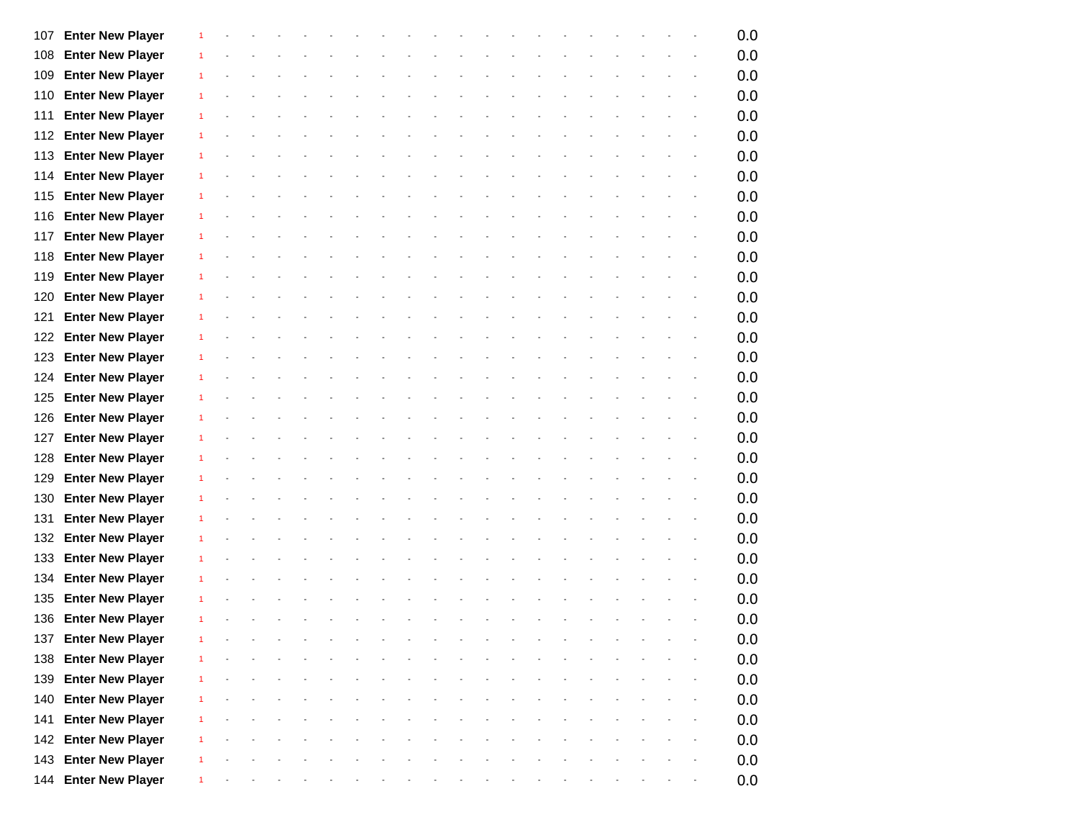| 107 | <b>Enter New Player</b> | 1              |        |  |  |  |  |  |  |  |  | 0.0 |
|-----|-------------------------|----------------|--------|--|--|--|--|--|--|--|--|-----|
| 108 | <b>Enter New Player</b> |                |        |  |  |  |  |  |  |  |  | 0.0 |
| 109 | <b>Enter New Player</b> | 1              |        |  |  |  |  |  |  |  |  | 0.0 |
| 110 | <b>Enter New Player</b> |                |        |  |  |  |  |  |  |  |  | 0.0 |
| 111 | <b>Enter New Player</b> | 1              |        |  |  |  |  |  |  |  |  | 0.0 |
| 112 | <b>Enter New Player</b> |                |        |  |  |  |  |  |  |  |  | 0.0 |
| 113 | <b>Enter New Player</b> |                |        |  |  |  |  |  |  |  |  | 0.0 |
| 114 | <b>Enter New Player</b> | 1              |        |  |  |  |  |  |  |  |  | 0.0 |
| 115 | <b>Enter New Player</b> | 1              |        |  |  |  |  |  |  |  |  | 0.0 |
| 116 | <b>Enter New Player</b> | 1              |        |  |  |  |  |  |  |  |  | 0.0 |
| 117 | <b>Enter New Player</b> | 1              |        |  |  |  |  |  |  |  |  | 0.0 |
| 118 | <b>Enter New Player</b> | 1              |        |  |  |  |  |  |  |  |  | 0.0 |
| 119 | <b>Enter New Player</b> |                |        |  |  |  |  |  |  |  |  | 0.0 |
| 120 | <b>Enter New Player</b> | 1              |        |  |  |  |  |  |  |  |  | 0.0 |
| 121 | <b>Enter New Player</b> |                |        |  |  |  |  |  |  |  |  | 0.0 |
| 122 | <b>Enter New Player</b> | 1              |        |  |  |  |  |  |  |  |  | 0.0 |
| 123 | <b>Enter New Player</b> |                |        |  |  |  |  |  |  |  |  | 0.0 |
| 124 | <b>Enter New Player</b> |                |        |  |  |  |  |  |  |  |  | 0.0 |
| 125 | <b>Enter New Player</b> |                |        |  |  |  |  |  |  |  |  | 0.0 |
| 126 | <b>Enter New Player</b> | 1              |        |  |  |  |  |  |  |  |  | 0.0 |
| 127 | <b>Enter New Player</b> | 1              |        |  |  |  |  |  |  |  |  | 0.0 |
| 128 | <b>Enter New Player</b> | -1             |        |  |  |  |  |  |  |  |  | 0.0 |
| 129 | <b>Enter New Player</b> | 1              |        |  |  |  |  |  |  |  |  | 0.0 |
| 130 | <b>Enter New Player</b> |                |        |  |  |  |  |  |  |  |  | 0.0 |
| 131 | <b>Enter New Player</b> | 1              |        |  |  |  |  |  |  |  |  | 0.0 |
| 132 | <b>Enter New Player</b> |                |        |  |  |  |  |  |  |  |  | 0.0 |
| 133 | <b>Enter New Player</b> | 1              |        |  |  |  |  |  |  |  |  | 0.0 |
| 134 | <b>Enter New Player</b> |                |        |  |  |  |  |  |  |  |  | 0.0 |
| 135 | <b>Enter New Player</b> |                |        |  |  |  |  |  |  |  |  | 0.0 |
| 136 | <b>Enter New Player</b> |                |        |  |  |  |  |  |  |  |  | 0.0 |
|     | 137 Enter New Player    | $\mathbf{1}$   | $\sim$ |  |  |  |  |  |  |  |  | 0.0 |
|     | 138 Enter New Player    | $\overline{1}$ |        |  |  |  |  |  |  |  |  | 0.0 |
| 139 | <b>Enter New Player</b> | 1              |        |  |  |  |  |  |  |  |  | 0.0 |
| 140 | <b>Enter New Player</b> |                |        |  |  |  |  |  |  |  |  | 0.0 |
| 141 | <b>Enter New Player</b> |                |        |  |  |  |  |  |  |  |  | 0.0 |
| 142 | <b>Enter New Player</b> | 1              |        |  |  |  |  |  |  |  |  | 0.0 |
| 143 | <b>Enter New Player</b> |                |        |  |  |  |  |  |  |  |  | 0.0 |
|     | 144 Enter New Player    | 1              |        |  |  |  |  |  |  |  |  | 0.0 |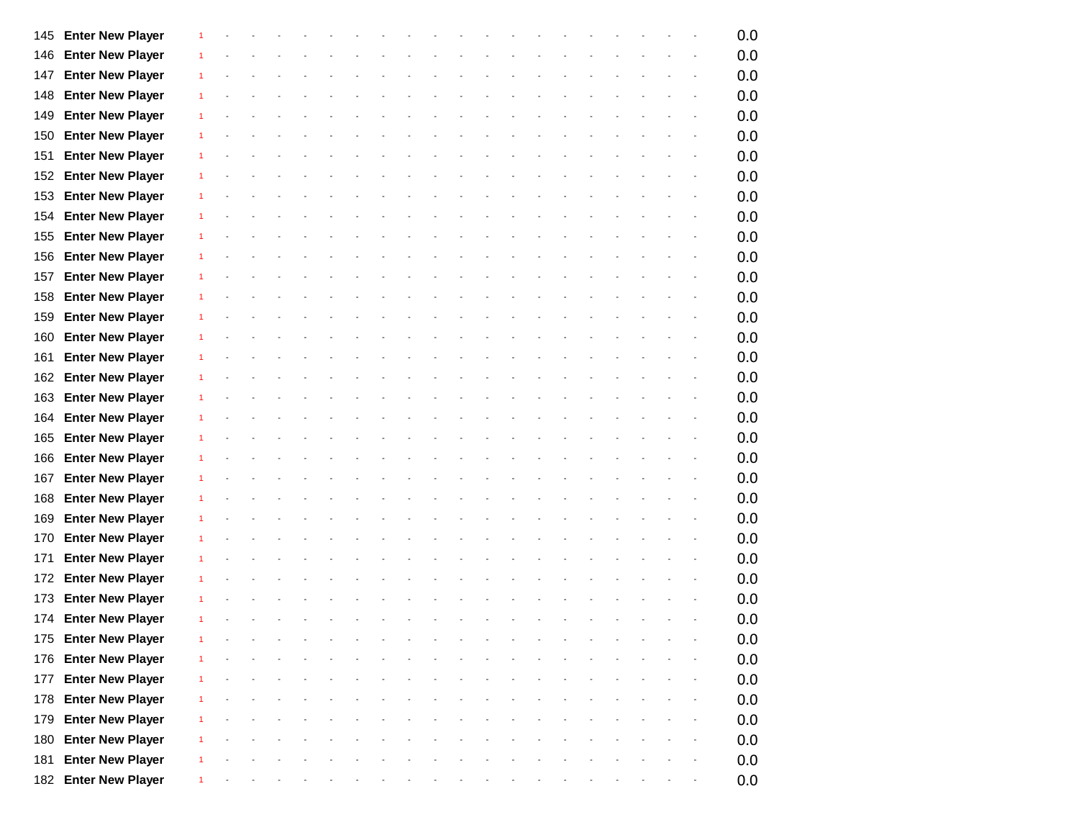| 145 | <b>Enter New Player</b> |              |  |  |  |  |  |  |  |  |  | 0.0 |
|-----|-------------------------|--------------|--|--|--|--|--|--|--|--|--|-----|
| 146 | <b>Enter New Player</b> |              |  |  |  |  |  |  |  |  |  | 0.0 |
| 147 | <b>Enter New Player</b> | 1            |  |  |  |  |  |  |  |  |  | 0.0 |
| 148 | <b>Enter New Player</b> |              |  |  |  |  |  |  |  |  |  | 0.0 |
| 149 | <b>Enter New Player</b> |              |  |  |  |  |  |  |  |  |  | 0.0 |
| 150 | <b>Enter New Player</b> |              |  |  |  |  |  |  |  |  |  | 0.0 |
| 151 | <b>Enter New Player</b> |              |  |  |  |  |  |  |  |  |  | 0.0 |
| 152 | <b>Enter New Player</b> |              |  |  |  |  |  |  |  |  |  | 0.0 |
| 153 | <b>Enter New Player</b> | 1            |  |  |  |  |  |  |  |  |  | 0.0 |
| 154 | <b>Enter New Player</b> |              |  |  |  |  |  |  |  |  |  | 0.0 |
| 155 | <b>Enter New Player</b> |              |  |  |  |  |  |  |  |  |  | 0.0 |
| 156 | <b>Enter New Player</b> |              |  |  |  |  |  |  |  |  |  | 0.0 |
| 157 | <b>Enter New Player</b> |              |  |  |  |  |  |  |  |  |  | 0.0 |
| 158 | <b>Enter New Player</b> | 1            |  |  |  |  |  |  |  |  |  | 0.0 |
| 159 | <b>Enter New Player</b> |              |  |  |  |  |  |  |  |  |  | 0.0 |
| 160 | <b>Enter New Player</b> | 1            |  |  |  |  |  |  |  |  |  | 0.0 |
| 161 | <b>Enter New Player</b> |              |  |  |  |  |  |  |  |  |  | 0.0 |
| 162 | <b>Enter New Player</b> |              |  |  |  |  |  |  |  |  |  | 0.0 |
| 163 | <b>Enter New Player</b> |              |  |  |  |  |  |  |  |  |  | 0.0 |
| 164 | <b>Enter New Player</b> |              |  |  |  |  |  |  |  |  |  | 0.0 |
| 165 | <b>Enter New Player</b> |              |  |  |  |  |  |  |  |  |  | 0.0 |
| 166 | <b>Enter New Player</b> |              |  |  |  |  |  |  |  |  |  | 0.0 |
| 167 | <b>Enter New Player</b> |              |  |  |  |  |  |  |  |  |  | 0.0 |
| 168 | <b>Enter New Player</b> |              |  |  |  |  |  |  |  |  |  | 0.0 |
| 169 | <b>Enter New Player</b> |              |  |  |  |  |  |  |  |  |  | 0.0 |
| 170 | <b>Enter New Player</b> |              |  |  |  |  |  |  |  |  |  | 0.0 |
| 171 | <b>Enter New Player</b> |              |  |  |  |  |  |  |  |  |  | 0.0 |
| 172 | <b>Enter New Player</b> |              |  |  |  |  |  |  |  |  |  | 0.0 |
| 173 | <b>Enter New Player</b> |              |  |  |  |  |  |  |  |  |  | 0.0 |
| 174 | <b>Enter New Player</b> |              |  |  |  |  |  |  |  |  |  | 0.0 |
|     | 175 Enter New Player    | $\mathbf{1}$ |  |  |  |  |  |  |  |  |  | 0.0 |
|     | 176 Enter New Player    |              |  |  |  |  |  |  |  |  |  | 0.0 |
| 177 | <b>Enter New Player</b> | 1            |  |  |  |  |  |  |  |  |  | 0.0 |
| 178 | <b>Enter New Player</b> |              |  |  |  |  |  |  |  |  |  | 0.0 |
| 179 | <b>Enter New Player</b> |              |  |  |  |  |  |  |  |  |  | 0.0 |
| 180 | <b>Enter New Player</b> |              |  |  |  |  |  |  |  |  |  | 0.0 |
| 181 | <b>Enter New Player</b> |              |  |  |  |  |  |  |  |  |  | 0.0 |
|     | 182 Enter New Player    |              |  |  |  |  |  |  |  |  |  | 0.0 |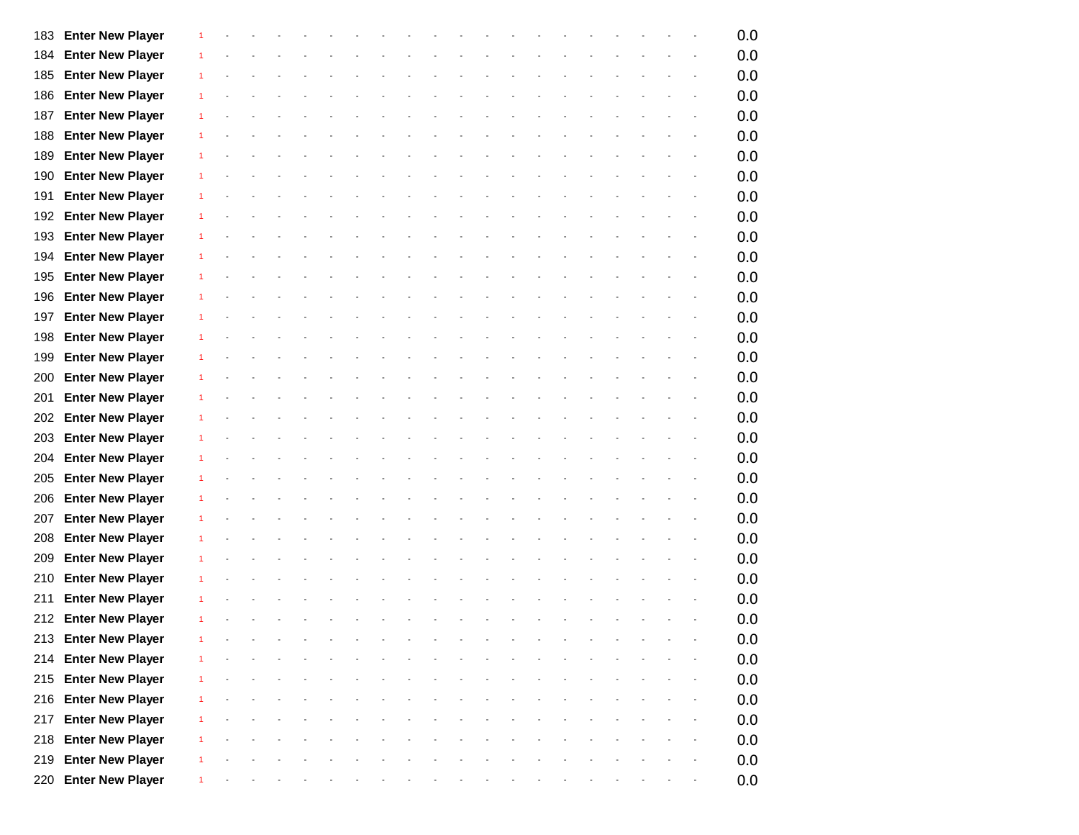| 183 | <b>Enter New Player</b> |              |  |  |  |  |  |  |  |  |  | 0.0 |
|-----|-------------------------|--------------|--|--|--|--|--|--|--|--|--|-----|
| 184 | <b>Enter New Player</b> |              |  |  |  |  |  |  |  |  |  | 0.0 |
| 185 | <b>Enter New Player</b> |              |  |  |  |  |  |  |  |  |  | 0.0 |
| 186 | <b>Enter New Player</b> |              |  |  |  |  |  |  |  |  |  | 0.0 |
| 187 | <b>Enter New Player</b> |              |  |  |  |  |  |  |  |  |  | 0.0 |
| 188 | <b>Enter New Player</b> |              |  |  |  |  |  |  |  |  |  | 0.0 |
| 189 | <b>Enter New Player</b> |              |  |  |  |  |  |  |  |  |  | 0.0 |
| 190 | <b>Enter New Player</b> |              |  |  |  |  |  |  |  |  |  | 0.0 |
| 191 | <b>Enter New Player</b> |              |  |  |  |  |  |  |  |  |  | 0.0 |
| 192 | <b>Enter New Player</b> |              |  |  |  |  |  |  |  |  |  | 0.0 |
| 193 | <b>Enter New Player</b> |              |  |  |  |  |  |  |  |  |  | 0.0 |
| 194 | <b>Enter New Player</b> |              |  |  |  |  |  |  |  |  |  | 0.0 |
| 195 | <b>Enter New Player</b> |              |  |  |  |  |  |  |  |  |  | 0.0 |
| 196 | <b>Enter New Player</b> |              |  |  |  |  |  |  |  |  |  | 0.0 |
| 197 | <b>Enter New Player</b> |              |  |  |  |  |  |  |  |  |  | 0.0 |
| 198 | <b>Enter New Player</b> |              |  |  |  |  |  |  |  |  |  | 0.0 |
| 199 | <b>Enter New Player</b> |              |  |  |  |  |  |  |  |  |  | 0.0 |
| 200 | <b>Enter New Player</b> |              |  |  |  |  |  |  |  |  |  | 0.0 |
| 201 | <b>Enter New Player</b> |              |  |  |  |  |  |  |  |  |  | 0.0 |
| 202 | <b>Enter New Player</b> |              |  |  |  |  |  |  |  |  |  | 0.0 |
| 203 | <b>Enter New Player</b> |              |  |  |  |  |  |  |  |  |  | 0.0 |
| 204 | <b>Enter New Player</b> |              |  |  |  |  |  |  |  |  |  | 0.0 |
| 205 | <b>Enter New Player</b> |              |  |  |  |  |  |  |  |  |  | 0.0 |
| 206 | <b>Enter New Player</b> |              |  |  |  |  |  |  |  |  |  | 0.0 |
| 207 | <b>Enter New Player</b> |              |  |  |  |  |  |  |  |  |  | 0.0 |
| 208 | <b>Enter New Player</b> |              |  |  |  |  |  |  |  |  |  | 0.0 |
| 209 | <b>Enter New Player</b> |              |  |  |  |  |  |  |  |  |  | 0.0 |
| 210 | <b>Enter New Player</b> |              |  |  |  |  |  |  |  |  |  | 0.0 |
| 211 | <b>Enter New Player</b> |              |  |  |  |  |  |  |  |  |  | 0.0 |
|     | 212 Enter New Player    |              |  |  |  |  |  |  |  |  |  | 0.0 |
|     | 213 Enter New Player    | $\mathbf{1}$ |  |  |  |  |  |  |  |  |  | 0.0 |
|     | 214 Enter New Player    |              |  |  |  |  |  |  |  |  |  | 0.0 |
|     | 215 Enter New Player    |              |  |  |  |  |  |  |  |  |  | 0.0 |
|     | 216 Enter New Player    |              |  |  |  |  |  |  |  |  |  | 0.0 |
| 217 | <b>Enter New Player</b> |              |  |  |  |  |  |  |  |  |  | 0.0 |
| 218 | <b>Enter New Player</b> |              |  |  |  |  |  |  |  |  |  | 0.0 |
|     | 219 Enter New Player    |              |  |  |  |  |  |  |  |  |  | 0.0 |
|     | 220 Enter New Player    |              |  |  |  |  |  |  |  |  |  | 0.0 |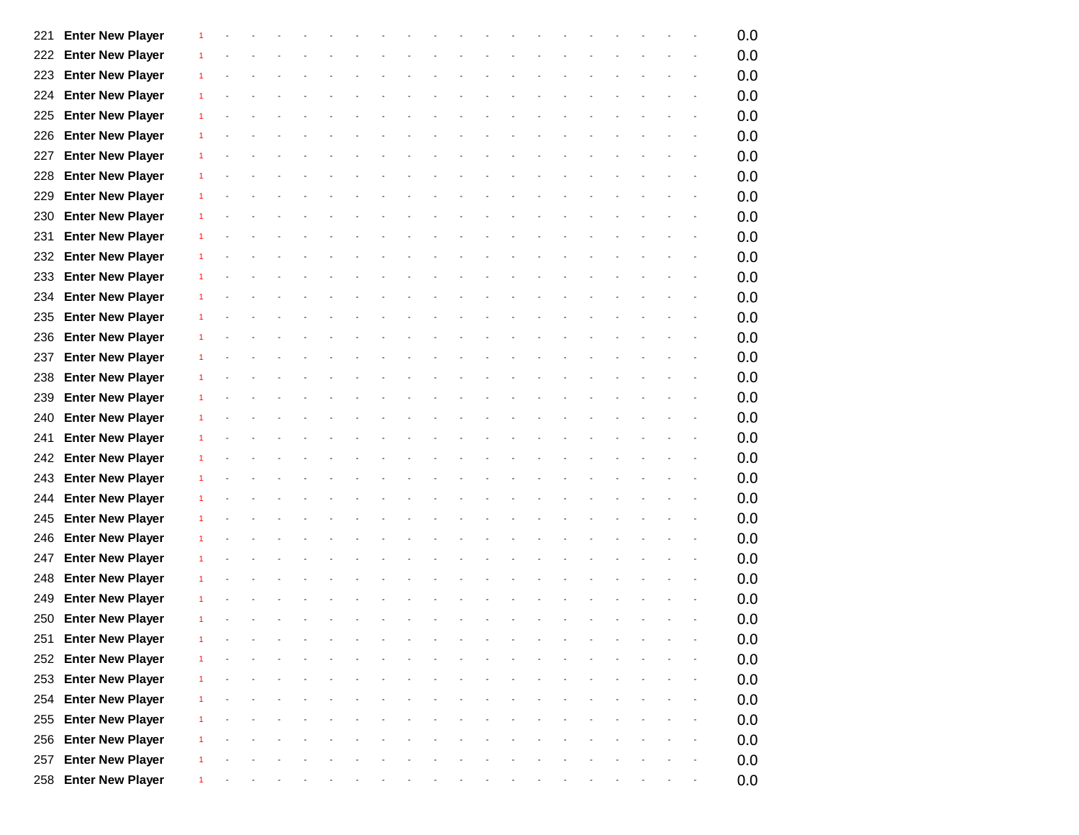| 221 | <b>Enter New Player</b> | 1              |            |  |  |  |  |  |  |  |  |                          | 0.0 |
|-----|-------------------------|----------------|------------|--|--|--|--|--|--|--|--|--------------------------|-----|
| 222 | <b>Enter New Player</b> |                |            |  |  |  |  |  |  |  |  |                          | 0.0 |
| 223 | <b>Enter New Player</b> | 1              |            |  |  |  |  |  |  |  |  |                          | 0.0 |
| 224 | <b>Enter New Player</b> |                |            |  |  |  |  |  |  |  |  |                          | 0.0 |
| 225 | <b>Enter New Player</b> | 1              |            |  |  |  |  |  |  |  |  |                          | 0.0 |
| 226 | <b>Enter New Player</b> |                |            |  |  |  |  |  |  |  |  |                          | 0.0 |
| 227 | <b>Enter New Player</b> | 1              |            |  |  |  |  |  |  |  |  |                          | 0.0 |
| 228 | <b>Enter New Player</b> | 1              |            |  |  |  |  |  |  |  |  |                          | 0.0 |
| 229 | <b>Enter New Player</b> | 1              |            |  |  |  |  |  |  |  |  |                          | 0.0 |
| 230 | <b>Enter New Player</b> | $\mathbf{1}$   |            |  |  |  |  |  |  |  |  |                          | 0.0 |
| 231 | <b>Enter New Player</b> | 1              |            |  |  |  |  |  |  |  |  |                          | 0.0 |
| 232 | <b>Enter New Player</b> | 1              |            |  |  |  |  |  |  |  |  |                          | 0.0 |
| 233 | <b>Enter New Player</b> |                |            |  |  |  |  |  |  |  |  |                          | 0.0 |
| 234 | <b>Enter New Player</b> | 1              |            |  |  |  |  |  |  |  |  |                          | 0.0 |
| 235 | <b>Enter New Player</b> |                |            |  |  |  |  |  |  |  |  |                          | 0.0 |
| 236 | <b>Enter New Player</b> | 1              |            |  |  |  |  |  |  |  |  |                          | 0.0 |
| 237 | <b>Enter New Player</b> |                |            |  |  |  |  |  |  |  |  |                          | 0.0 |
| 238 | <b>Enter New Player</b> | 1              |            |  |  |  |  |  |  |  |  |                          | 0.0 |
| 239 | <b>Enter New Player</b> |                |            |  |  |  |  |  |  |  |  |                          | 0.0 |
| 240 | <b>Enter New Player</b> | 1              |            |  |  |  |  |  |  |  |  |                          | 0.0 |
| 241 | <b>Enter New Player</b> | 1              |            |  |  |  |  |  |  |  |  |                          | 0.0 |
| 242 | <b>Enter New Player</b> | 1              |            |  |  |  |  |  |  |  |  |                          | 0.0 |
| 243 | <b>Enter New Player</b> | 1              |            |  |  |  |  |  |  |  |  |                          | 0.0 |
| 244 | <b>Enter New Player</b> |                |            |  |  |  |  |  |  |  |  |                          | 0.0 |
| 245 | <b>Enter New Player</b> | 1              |            |  |  |  |  |  |  |  |  |                          | 0.0 |
| 246 | <b>Enter New Player</b> |                |            |  |  |  |  |  |  |  |  |                          | 0.0 |
| 247 | <b>Enter New Player</b> | 1              |            |  |  |  |  |  |  |  |  | $\overline{\phantom{a}}$ | 0.0 |
| 248 | <b>Enter New Player</b> |                |            |  |  |  |  |  |  |  |  |                          | 0.0 |
| 249 | <b>Enter New Player</b> | 1              |            |  |  |  |  |  |  |  |  |                          | 0.0 |
| 250 | <b>Enter New Player</b> |                |            |  |  |  |  |  |  |  |  |                          | 0.0 |
|     | 251 Enter New Player    | $\mathbf{1}$   | $\sim$ $-$ |  |  |  |  |  |  |  |  |                          | 0.0 |
|     | 252 Enter New Player    |                |            |  |  |  |  |  |  |  |  |                          | 0.0 |
| 253 | <b>Enter New Player</b> | $\overline{1}$ |            |  |  |  |  |  |  |  |  |                          | 0.0 |
| 254 | <b>Enter New Player</b> | 1              |            |  |  |  |  |  |  |  |  |                          | 0.0 |
| 255 | <b>Enter New Player</b> |                |            |  |  |  |  |  |  |  |  |                          | 0.0 |
| 256 | <b>Enter New Player</b> |                |            |  |  |  |  |  |  |  |  |                          | 0.0 |
| 257 | <b>Enter New Player</b> |                |            |  |  |  |  |  |  |  |  |                          | 0.0 |
|     | 258 Enter New Player    | $\mathbf{1}$   |            |  |  |  |  |  |  |  |  |                          | 0.0 |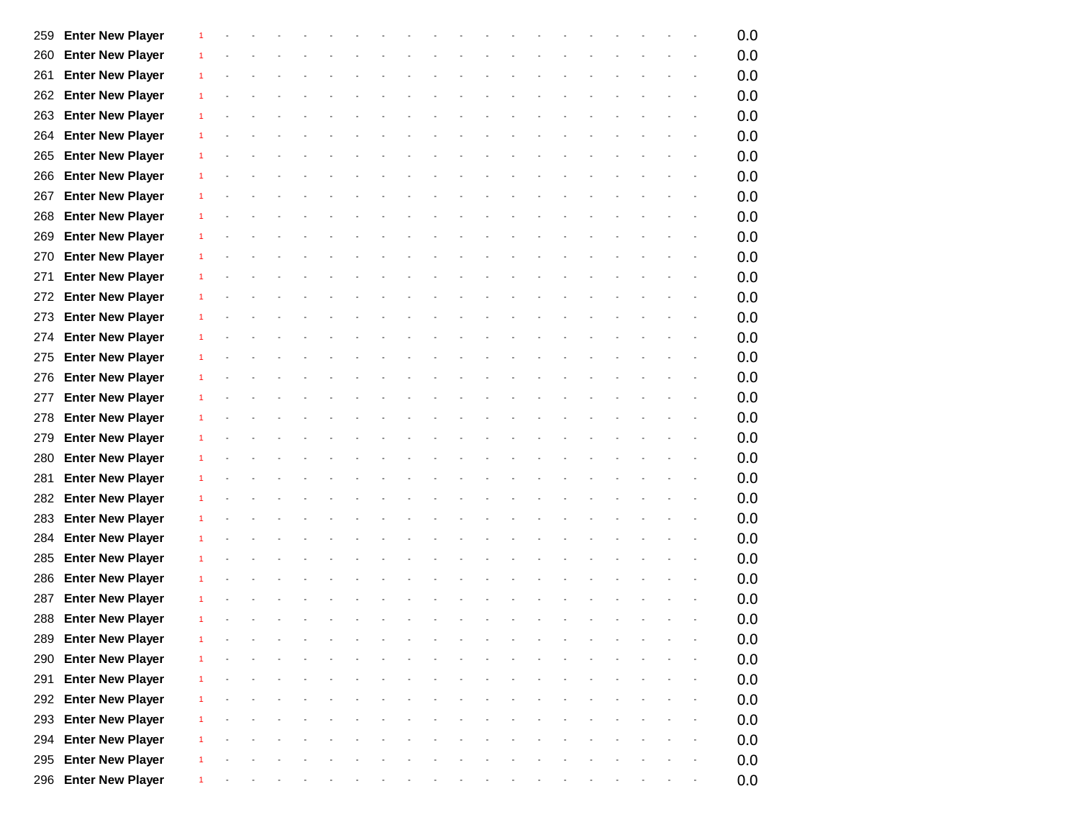| 259 | <b>Enter New Player</b> |                      |  |  |  |  |  |  |  |  |  | 0.0 |
|-----|-------------------------|----------------------|--|--|--|--|--|--|--|--|--|-----|
| 260 | <b>Enter New Player</b> |                      |  |  |  |  |  |  |  |  |  | 0.0 |
| 261 | <b>Enter New Player</b> | $\mathbf{1}$         |  |  |  |  |  |  |  |  |  | 0.0 |
| 262 | <b>Enter New Player</b> |                      |  |  |  |  |  |  |  |  |  | 0.0 |
| 263 | <b>Enter New Player</b> | 1                    |  |  |  |  |  |  |  |  |  | 0.0 |
| 264 | <b>Enter New Player</b> |                      |  |  |  |  |  |  |  |  |  | 0.0 |
| 265 | <b>Enter New Player</b> | 1                    |  |  |  |  |  |  |  |  |  | 0.0 |
| 266 | <b>Enter New Player</b> | 1                    |  |  |  |  |  |  |  |  |  | 0.0 |
| 267 | <b>Enter New Player</b> | $\mathbf{1}$         |  |  |  |  |  |  |  |  |  | 0.0 |
| 268 | <b>Enter New Player</b> | -1                   |  |  |  |  |  |  |  |  |  | 0.0 |
| 269 | <b>Enter New Player</b> | 1                    |  |  |  |  |  |  |  |  |  | 0.0 |
| 270 | <b>Enter New Player</b> | -1                   |  |  |  |  |  |  |  |  |  | 0.0 |
| 271 | <b>Enter New Player</b> | 1                    |  |  |  |  |  |  |  |  |  | 0.0 |
| 272 | <b>Enter New Player</b> | -1                   |  |  |  |  |  |  |  |  |  | 0.0 |
| 273 | <b>Enter New Player</b> |                      |  |  |  |  |  |  |  |  |  | 0.0 |
| 274 | <b>Enter New Player</b> | $\mathbf{1}$         |  |  |  |  |  |  |  |  |  | 0.0 |
| 275 | <b>Enter New Player</b> |                      |  |  |  |  |  |  |  |  |  | 0.0 |
| 276 | <b>Enter New Player</b> | -1                   |  |  |  |  |  |  |  |  |  | 0.0 |
| 277 | <b>Enter New Player</b> |                      |  |  |  |  |  |  |  |  |  | 0.0 |
| 278 | <b>Enter New Player</b> | 1                    |  |  |  |  |  |  |  |  |  | 0.0 |
| 279 | <b>Enter New Player</b> | 1                    |  |  |  |  |  |  |  |  |  | 0.0 |
| 280 | <b>Enter New Player</b> | $\mathbf{1}$         |  |  |  |  |  |  |  |  |  | 0.0 |
| 281 | <b>Enter New Player</b> | -1                   |  |  |  |  |  |  |  |  |  | 0.0 |
| 282 | <b>Enter New Player</b> | 1                    |  |  |  |  |  |  |  |  |  | 0.0 |
| 283 | <b>Enter New Player</b> | -1                   |  |  |  |  |  |  |  |  |  | 0.0 |
| 284 | <b>Enter New Player</b> | 1                    |  |  |  |  |  |  |  |  |  | 0.0 |
| 285 | <b>Enter New Player</b> | 1                    |  |  |  |  |  |  |  |  |  | 0.0 |
| 286 | <b>Enter New Player</b> |                      |  |  |  |  |  |  |  |  |  | 0.0 |
| 287 | <b>Enter New Player</b> | -1                   |  |  |  |  |  |  |  |  |  | 0.0 |
| 288 | <b>Enter New Player</b> |                      |  |  |  |  |  |  |  |  |  | 0.0 |
|     | 289 Enter New Player    | $\blacktriangleleft$ |  |  |  |  |  |  |  |  |  | 0.0 |
|     | 290 Enter New Player    |                      |  |  |  |  |  |  |  |  |  | 0.0 |
| 291 | <b>Enter New Player</b> | $\mathbf{1}$         |  |  |  |  |  |  |  |  |  | 0.0 |
| 292 | <b>Enter New Player</b> |                      |  |  |  |  |  |  |  |  |  | 0.0 |
| 293 | <b>Enter New Player</b> | -1                   |  |  |  |  |  |  |  |  |  | 0.0 |
| 294 | <b>Enter New Player</b> | $\mathbf{1}$         |  |  |  |  |  |  |  |  |  | 0.0 |
| 295 | <b>Enter New Player</b> |                      |  |  |  |  |  |  |  |  |  | 0.0 |
|     | 296 Enter New Player    |                      |  |  |  |  |  |  |  |  |  | 0.0 |